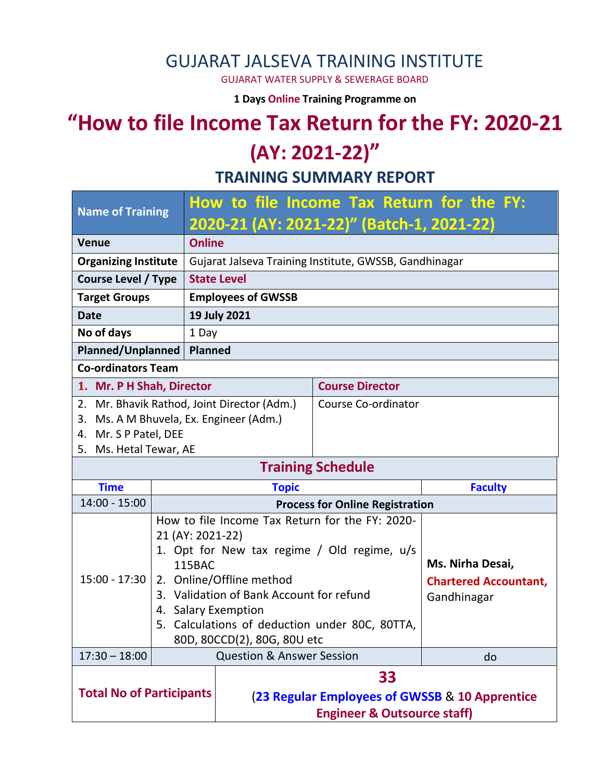### GUJARAT JALSEVA TRAINING INSTITUTE

GUJARAT WATER SUPPLY & SEWERAGE BOARD

**1 Days Online Training Programme on** 

# **"How to file Income Tax Return for the FY: 2020-21**

# **(AY: 2021-22)"**

**TRAINING SUMMARY REPORT**

| <b>Name of Training</b>                               |  | How to file Income Tax Return for the FY:<br>2020-21 (AY: 2021-22)" (Batch-1, 2021-22)                                                                                                                                                                                                                       |                                                                                                |                |  |  |  |
|-------------------------------------------------------|--|--------------------------------------------------------------------------------------------------------------------------------------------------------------------------------------------------------------------------------------------------------------------------------------------------------------|------------------------------------------------------------------------------------------------|----------------|--|--|--|
| <b>Venue</b>                                          |  | <b>Online</b>                                                                                                                                                                                                                                                                                                |                                                                                                |                |  |  |  |
| <b>Organizing Institute</b>                           |  | Gujarat Jalseva Training Institute, GWSSB, Gandhinagar                                                                                                                                                                                                                                                       |                                                                                                |                |  |  |  |
| <b>Course Level / Type</b>                            |  | <b>State Level</b>                                                                                                                                                                                                                                                                                           |                                                                                                |                |  |  |  |
| <b>Target Groups</b>                                  |  | <b>Employees of GWSSB</b>                                                                                                                                                                                                                                                                                    |                                                                                                |                |  |  |  |
| <b>Date</b>                                           |  | 19 July 2021                                                                                                                                                                                                                                                                                                 |                                                                                                |                |  |  |  |
| No of days                                            |  | 1 Day                                                                                                                                                                                                                                                                                                        |                                                                                                |                |  |  |  |
| Planned/Unplanned                                     |  | <b>Planned</b>                                                                                                                                                                                                                                                                                               |                                                                                                |                |  |  |  |
| <b>Co-ordinators Team</b>                             |  |                                                                                                                                                                                                                                                                                                              |                                                                                                |                |  |  |  |
| 1. Mr. P H Shah, Director                             |  |                                                                                                                                                                                                                                                                                                              | <b>Course Director</b>                                                                         |                |  |  |  |
| 3.<br>4. Mr. S P Patel, DEE<br>5. Ms. Hetal Tewar, AE |  | 2. Mr. Bhavik Rathod, Joint Director (Adm.)<br>Ms. A M Bhuvela, Ex. Engineer (Adm.)                                                                                                                                                                                                                          | Course Co-ordinator                                                                            |                |  |  |  |
| <b>Training Schedule</b>                              |  |                                                                                                                                                                                                                                                                                                              |                                                                                                |                |  |  |  |
| <b>Time</b>                                           |  | <b>Topic</b>                                                                                                                                                                                                                                                                                                 |                                                                                                | <b>Faculty</b> |  |  |  |
| $14:00 - 15:00$                                       |  | <b>Process for Online Registration</b>                                                                                                                                                                                                                                                                       |                                                                                                |                |  |  |  |
| $15:00 - 17:30$                                       |  | How to file Income Tax Return for the FY: 2020-<br>21 (AY: 2021-22)<br>1. Opt for New tax regime / Old regime, u/s<br>115BAC<br>2. Online/Offline method<br>3. Validation of Bank Account for refund<br>4. Salary Exemption<br>5. Calculations of deduction under 80C, 80TTA,<br>80D, 80CCD(2), 80G, 80U etc | Ms. Nirha Desai,<br><b>Chartered Accountant,</b><br>Gandhinagar                                |                |  |  |  |
| $17:30 - 18:00$                                       |  |                                                                                                                                                                                                                                                                                                              | <b>Question &amp; Answer Session</b>                                                           |                |  |  |  |
| <b>Total No of Participants</b>                       |  |                                                                                                                                                                                                                                                                                                              | 33<br>(23 Regular Employees of GWSSB & 10 Apprentice<br><b>Engineer &amp; Outsource staff)</b> |                |  |  |  |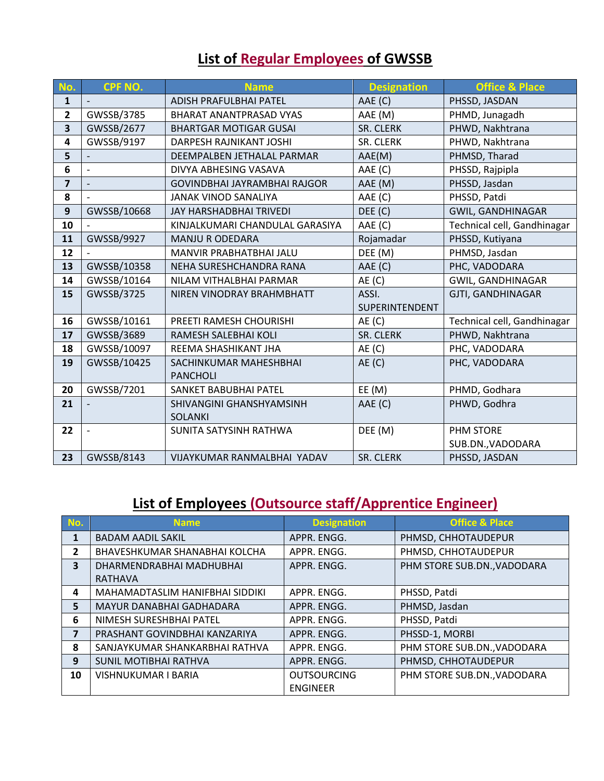## **List of Regular Employees of GWSSB**

| No.            | <b>CPF NO.</b>           | <b>Name</b>                     | <b>Designation</b> | <b>Office &amp; Place</b>   |
|----------------|--------------------------|---------------------------------|--------------------|-----------------------------|
| $\mathbf{1}$   |                          | ADISH PRAFULBHAI PATEL          | AAE (C)            | PHSSD, JASDAN               |
| 2              | GWSSB/3785               | BHARAT ANANTPRASAD VYAS         | AAE (M)            | PHMD, Junagadh              |
| 3              | GWSSB/2677               | <b>BHARTGAR MOTIGAR GUSAI</b>   | SR. CLERK          | PHWD, Nakhtrana             |
| 4              | GWSSB/9197               | DARPESH RAJNIKANT JOSHI         | SR. CLERK          | PHWD, Nakhtrana             |
| 5              |                          | DEEMPALBEN JETHALAL PARMAR      | AAE(M)             | PHMSD, Tharad               |
| 6              |                          | DIVYA ABHESING VASAVA           | AAE (C)            | PHSSD, Rajpipla             |
| $\overline{7}$ | $\overline{\phantom{0}}$ | GOVINDBHAI JAYRAMBHAI RAJGOR    | AAE (M)            | PHSSD, Jasdan               |
| 8              |                          | <b>JANAK VINOD SANALIYA</b>     | AAE (C)            | PHSSD, Patdi                |
| $\mathbf{9}$   | GWSSB/10668              | <b>JAY HARSHADBHAI TRIVEDI</b>  | DEE (C)            | GWIL, GANDHINAGAR           |
| 10             |                          | KINJALKUMARI CHANDULAL GARASIYA | AAE (C)            | Technical cell, Gandhinagar |
| 11             | GWSSB/9927               | <b>MANJU R ODEDARA</b>          | Rojamadar          | PHSSD, Kutiyana             |
| 12             |                          | MANVIR PRABHATBHAI JALU         | DEE (M)            | PHMSD, Jasdan               |
| 13             | GWSSB/10358              | NEHA SURESHCHANDRA RANA         | AAE (C)            | PHC, VADODARA               |
| 14             | GWSSB/10164              | NILAM VITHALBHAI PARMAR         | AE(C)              | <b>GWIL, GANDHINAGAR</b>    |
| 15             | GWSSB/3725               | NIREN VINODRAY BRAHMBHATT       | ASSI.              | GJTI, GANDHINAGAR           |
|                |                          |                                 | SUPERINTENDENT     |                             |
| 16             | GWSSB/10161              | PREETI RAMESH CHOURISHI         | AE(C)              | Technical cell, Gandhinagar |
| 17             | GWSSB/3689               | RAMESH SALEBHAI KOLI            | SR. CLERK          | PHWD, Nakhtrana             |
| 18             | GWSSB/10097              | REEMA SHASHIKANT JHA            | AE(C)              | PHC, VADODARA               |
| 19             | GWSSB/10425              | SACHINKUMAR MAHESHBHAI          | AE(C)              | PHC, VADODARA               |
|                |                          | <b>PANCHOLI</b>                 |                    |                             |
| 20             | GWSSB/7201               | SANKET BABUBHAI PATEL           | EE(M)              | PHMD, Godhara               |
| 21             |                          | SHIVANGINI GHANSHYAMSINH        | AAE (C)            | PHWD, Godhra                |
|                |                          | <b>SOLANKI</b>                  |                    |                             |
| 22             |                          | SUNITA SATYSINH RATHWA          | DEE (M)            | <b>PHM STORE</b>            |
|                |                          |                                 |                    | SUB.DN., VADODARA           |
| 23             | GWSSB/8143               | VIJAYKUMAR RANMALBHAI YADAV     | SR. CLERK          | PHSSD, JASDAN               |

#### **List of Employees (Outsource staff/Apprentice Engineer)**

| No.                     | <b>Name</b>                     | <b>Designation</b> | <b>Office &amp; Place</b>   |  |
|-------------------------|---------------------------------|--------------------|-----------------------------|--|
| 1                       | <b>BADAM AADIL SAKIL</b>        | APPR. ENGG.        | PHMSD, CHHOTAUDEPUR         |  |
| $\mathbf{2}$            | BHAVESHKUMAR SHANABHAI KOLCHA   | APPR. ENGG.        | PHMSD, CHHOTAUDEPUR         |  |
| $\overline{\mathbf{3}}$ | DHARMENDRABHAI MADHUBHAI        | APPR. ENGG.        | PHM STORE SUB.DN., VADODARA |  |
|                         | <b>RATHAVA</b>                  |                    |                             |  |
| 4                       | MAHAMADTASLIM HANIFBHAI SIDDIKI | APPR. ENGG.        | PHSSD, Patdi                |  |
| 5                       | MAYUR DANABHAI GADHADARA        | APPR. ENGG.        | PHMSD, Jasdan               |  |
| 6                       | NIMESH SURESHBHAI PATEL         | APPR. ENGG.        | PHSSD, Patdi                |  |
| $\overline{ }$          | PRASHANT GOVINDBHAI KANZARIYA   | APPR. ENGG.        | PHSSD-1, MORBI              |  |
| 8                       | SANJAYKUMAR SHANKARBHAI RATHVA  | APPR. ENGG.        | PHM STORE SUB.DN., VADODARA |  |
| 9                       | SUNIL MOTIBHAI RATHVA           | APPR. ENGG.        | PHMSD, CHHOTAUDEPUR         |  |
| 10                      | VISHNUKUMAR I BARIA             | <b>OUTSOURCING</b> | PHM STORE SUB.DN., VADODARA |  |
|                         |                                 | <b>ENGINEER</b>    |                             |  |